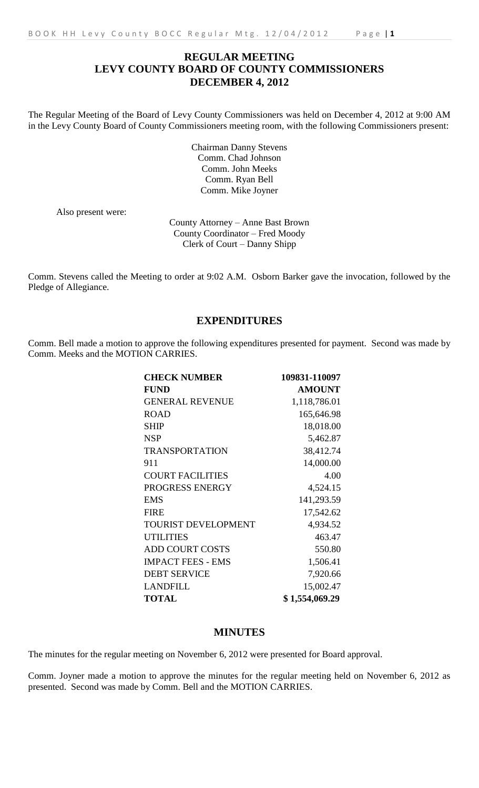# **REGULAR MEETING LEVY COUNTY BOARD OF COUNTY COMMISSIONERS DECEMBER 4, 2012**

The Regular Meeting of the Board of Levy County Commissioners was held on December 4, 2012 at 9:00 AM in the Levy County Board of County Commissioners meeting room, with the following Commissioners present:

> Chairman Danny Stevens Comm. Chad Johnson Comm. John Meeks Comm. Ryan Bell Comm. Mike Joyner

Also present were:

County Attorney – Anne Bast Brown County Coordinator – Fred Moody Clerk of Court – Danny Shipp

Comm. Stevens called the Meeting to order at 9:02 A.M. Osborn Barker gave the invocation, followed by the Pledge of Allegiance.

# **EXPENDITURES**

Comm. Bell made a motion to approve the following expenditures presented for payment. Second was made by Comm. Meeks and the MOTION CARRIES.

| <b>CHECK NUMBER</b>        | 109831-110097  |
|----------------------------|----------------|
| <b>FUND</b>                | <b>AMOUNT</b>  |
| <b>GENERAL REVENUE</b>     | 1,118,786.01   |
| <b>ROAD</b>                | 165,646.98     |
| <b>SHIP</b>                | 18,018.00      |
| <b>NSP</b>                 | 5,462.87       |
| <b>TRANSPORTATION</b>      | 38,412.74      |
| 911                        | 14,000.00      |
| <b>COURT FACILITIES</b>    | 4.00           |
| PROGRESS ENERGY            | 4,524.15       |
| <b>EMS</b>                 | 141,293.59     |
| <b>FIRE</b>                | 17,542.62      |
| <b>TOURIST DEVELOPMENT</b> | 4,934.52       |
| <b>UTILITIES</b>           | 463.47         |
| <b>ADD COURT COSTS</b>     | 550.80         |
| <b>IMPACT FEES - EMS</b>   | 1,506.41       |
| <b>DEBT SERVICE</b>        | 7,920.66       |
| <b>LANDFILL</b>            | 15,002.47      |
| <b>TOTAL</b>               | \$1,554,069.29 |

# **MINUTES**

The minutes for the regular meeting on November 6, 2012 were presented for Board approval.

Comm. Joyner made a motion to approve the minutes for the regular meeting held on November 6, 2012 as presented. Second was made by Comm. Bell and the MOTION CARRIES.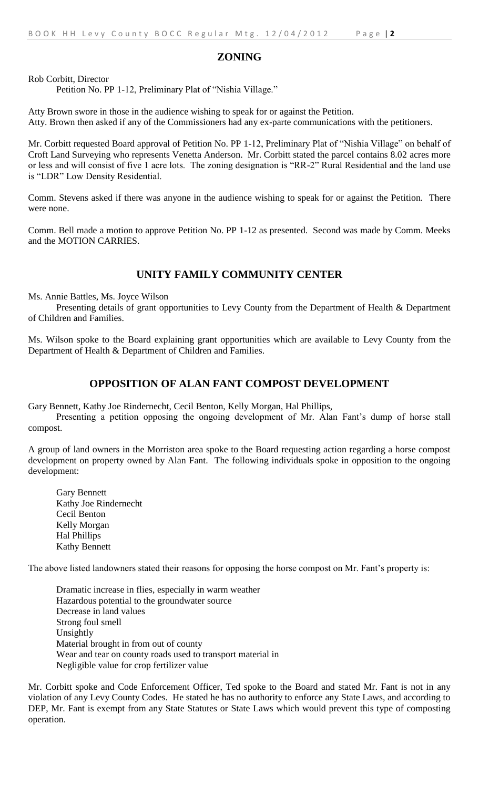#### **ZONING**

Rob Corbitt, Director

Petition No. PP 1-12, Preliminary Plat of "Nishia Village."

Atty Brown swore in those in the audience wishing to speak for or against the Petition. Atty. Brown then asked if any of the Commissioners had any ex-parte communications with the petitioners.

Mr. Corbitt requested Board approval of Petition No. PP 1-12, Preliminary Plat of "Nishia Village" on behalf of Croft Land Surveying who represents Venetta Anderson. Mr. Corbitt stated the parcel contains 8.02 acres more or less and will consist of five 1 acre lots. The zoning designation is "RR-2" Rural Residential and the land use is "LDR" Low Density Residential.

Comm. Stevens asked if there was anyone in the audience wishing to speak for or against the Petition. There were none.

Comm. Bell made a motion to approve Petition No. PP 1-12 as presented. Second was made by Comm. Meeks and the MOTION CARRIES.

# **UNITY FAMILY COMMUNITY CENTER**

Ms. Annie Battles, Ms. Joyce Wilson

Presenting details of grant opportunities to Levy County from the Department of Health & Department of Children and Families.

Ms. Wilson spoke to the Board explaining grant opportunities which are available to Levy County from the Department of Health & Department of Children and Families.

#### **OPPOSITION OF ALAN FANT COMPOST DEVELOPMENT**

Gary Bennett, Kathy Joe Rindernecht, Cecil Benton, Kelly Morgan, Hal Phillips,

Presenting a petition opposing the ongoing development of Mr. Alan Fant's dump of horse stall compost.

A group of land owners in the Morriston area spoke to the Board requesting action regarding a horse compost development on property owned by Alan Fant. The following individuals spoke in opposition to the ongoing development:

Gary Bennett Kathy Joe Rindernecht Cecil Benton Kelly Morgan Hal Phillips Kathy Bennett

The above listed landowners stated their reasons for opposing the horse compost on Mr. Fant's property is:

Dramatic increase in flies, especially in warm weather Hazardous potential to the groundwater source Decrease in land values Strong foul smell Unsightly Material brought in from out of county Wear and tear on county roads used to transport material in Negligible value for crop fertilizer value

Mr. Corbitt spoke and Code Enforcement Officer, Ted spoke to the Board and stated Mr. Fant is not in any violation of any Levy County Codes. He stated he has no authority to enforce any State Laws, and according to DEP, Mr. Fant is exempt from any State Statutes or State Laws which would prevent this type of composting operation.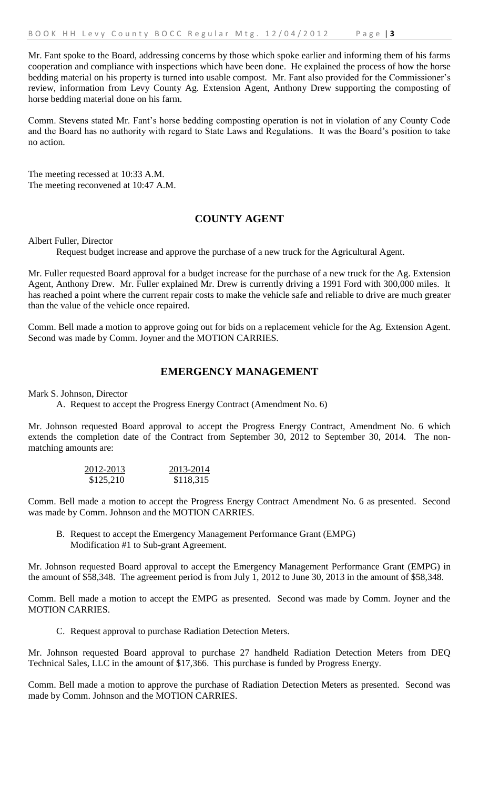Mr. Fant spoke to the Board, addressing concerns by those which spoke earlier and informing them of his farms cooperation and compliance with inspections which have been done. He explained the process of how the horse bedding material on his property is turned into usable compost. Mr. Fant also provided for the Commissioner's review, information from Levy County Ag. Extension Agent, Anthony Drew supporting the composting of horse bedding material done on his farm.

Comm. Stevens stated Mr. Fant's horse bedding composting operation is not in violation of any County Code and the Board has no authority with regard to State Laws and Regulations. It was the Board's position to take no action.

The meeting recessed at 10:33 A.M. The meeting reconvened at 10:47 A.M.

# **COUNTY AGENT**

Albert Fuller, Director

Request budget increase and approve the purchase of a new truck for the Agricultural Agent.

Mr. Fuller requested Board approval for a budget increase for the purchase of a new truck for the Ag. Extension Agent, Anthony Drew. Mr. Fuller explained Mr. Drew is currently driving a 1991 Ford with 300,000 miles. It has reached a point where the current repair costs to make the vehicle safe and reliable to drive are much greater than the value of the vehicle once repaired.

Comm. Bell made a motion to approve going out for bids on a replacement vehicle for the Ag. Extension Agent. Second was made by Comm. Joyner and the MOTION CARRIES.

### **EMERGENCY MANAGEMENT**

Mark S. Johnson, Director

A. Request to accept the Progress Energy Contract (Amendment No. 6)

Mr. Johnson requested Board approval to accept the Progress Energy Contract, Amendment No. 6 which extends the completion date of the Contract from September 30, 2012 to September 30, 2014. The nonmatching amounts are:

| 2012-2013 | 2013-2014 |
|-----------|-----------|
| \$125,210 | \$118,315 |

Comm. Bell made a motion to accept the Progress Energy Contract Amendment No. 6 as presented. Second was made by Comm. Johnson and the MOTION CARRIES.

B. Request to accept the Emergency Management Performance Grant (EMPG) Modification #1 to Sub-grant Agreement.

Mr. Johnson requested Board approval to accept the Emergency Management Performance Grant (EMPG) in the amount of \$58,348. The agreement period is from July 1, 2012 to June 30, 2013 in the amount of \$58,348.

Comm. Bell made a motion to accept the EMPG as presented. Second was made by Comm. Joyner and the MOTION CARRIES.

C. Request approval to purchase Radiation Detection Meters.

Mr. Johnson requested Board approval to purchase 27 handheld Radiation Detection Meters from DEQ Technical Sales, LLC in the amount of \$17,366. This purchase is funded by Progress Energy.

Comm. Bell made a motion to approve the purchase of Radiation Detection Meters as presented. Second was made by Comm. Johnson and the MOTION CARRIES.